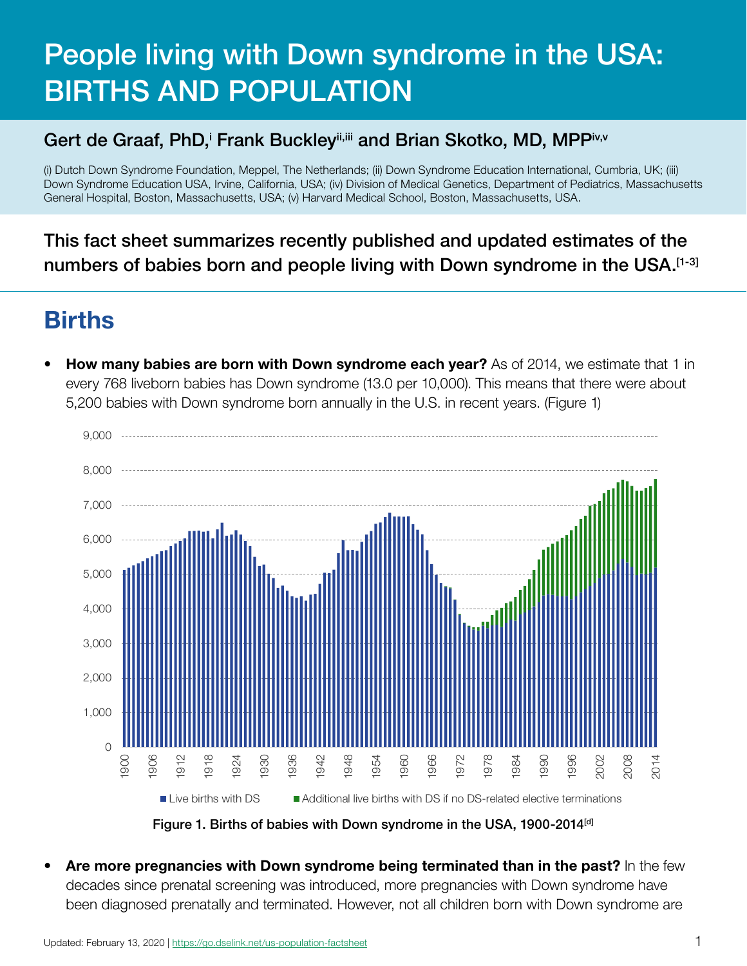# People living with Down syndrome in the USA: BIRTHS AND POPULATION

#### Gert de Graaf, PhD, Frank Buckley", and Brian Skotko, MD, MPPiv,v

(i) Dutch Down Syndrome Foundation, Meppel, The Netherlands; (ii) Down Syndrome Education International, Cumbria, UK; (iii) Down Syndrome Education USA, Irvine, California, USA; (iv) Division of Medical Genetics, Department of Pediatrics, Massachusetts General Hospital, Boston, Massachusetts, USA; (v) Harvard Medical School, Boston, Massachusetts, USA.

This fact sheet summarizes recently published and updated estimates of the numbers of babies born and people living with Down syndrome in the USA.<sup>[1-3]</sup>

#### Births

**How many babies are born with Down syndrome each year?** As of 2014, we estimate that 1 in every 768 liveborn babies has Down syndrome (13.0 per 10,000). This means that there were about 5,200 babies with Down syndrome born annually in the U.S. in recent years. (Figure 1)



Figure 1. Births of babies with Down syndrome in the USA, 1900-2014<sup>[d]</sup>

Are more pregnancies with Down syndrome being terminated than in the past? In the few decades since prenatal screening was introduced, more pregnancies with Down syndrome have been diagnosed prenatally and terminated. However, not all children born with Down syndrome are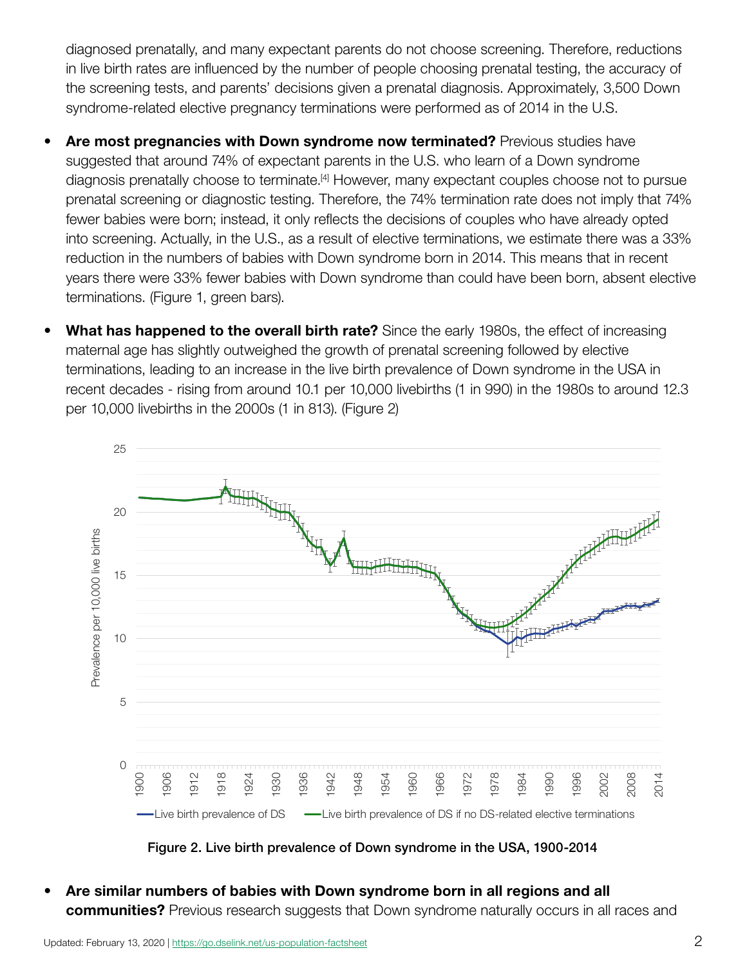diagnosed prenatally, and many expectant parents do not choose screening. Therefore, reductions in live birth rates are influenced by the number of people choosing prenatal testing, the accuracy of the screening tests, and parents' decisions given a prenatal diagnosis. Approximately, 3,500 Down syndrome-related elective pregnancy terminations were performed as of 2014 in the U.S.

- Are most pregnancies with Down syndrome now terminated? Previous studies have suggested that around 74% of expectant parents in the U.S. who learn of a Down syndrome diagnosis prenatally choose to terminate.<sup>[4]</sup> However, many expectant couples choose not to pursue prenatal screening or diagnostic testing. Therefore, the 74% termination rate does not imply that 74% fewer babies were born; instead, it only reflects the decisions of couples who have already opted into screening. Actually, in the U.S., as a result of elective terminations, we estimate there was a 33% reduction in the numbers of babies with Down syndrome born in 2014. This means that in recent years there were 33% fewer babies with Down syndrome than could have been born, absent elective terminations. (Figure 1, green bars).
- What has happened to the overall birth rate? Since the early 1980s, the effect of increasing maternal age has slightly outweighed the growth of prenatal screening followed by elective terminations, leading to an increase in the live birth prevalence of Down syndrome in the USA in recent decades - rising from around 10.1 per 10,000 livebirths (1 in 990) in the 1980s to around 12.3 per 10,000 livebirths in the 2000s (1 in 813). (Figure 2)



Figure 2. Live birth prevalence of Down syndrome in the USA, 1900-2014

• Are similar numbers of babies with Down syndrome born in all regions and all **communities?** Previous research suggests that Down syndrome naturally occurs in all races and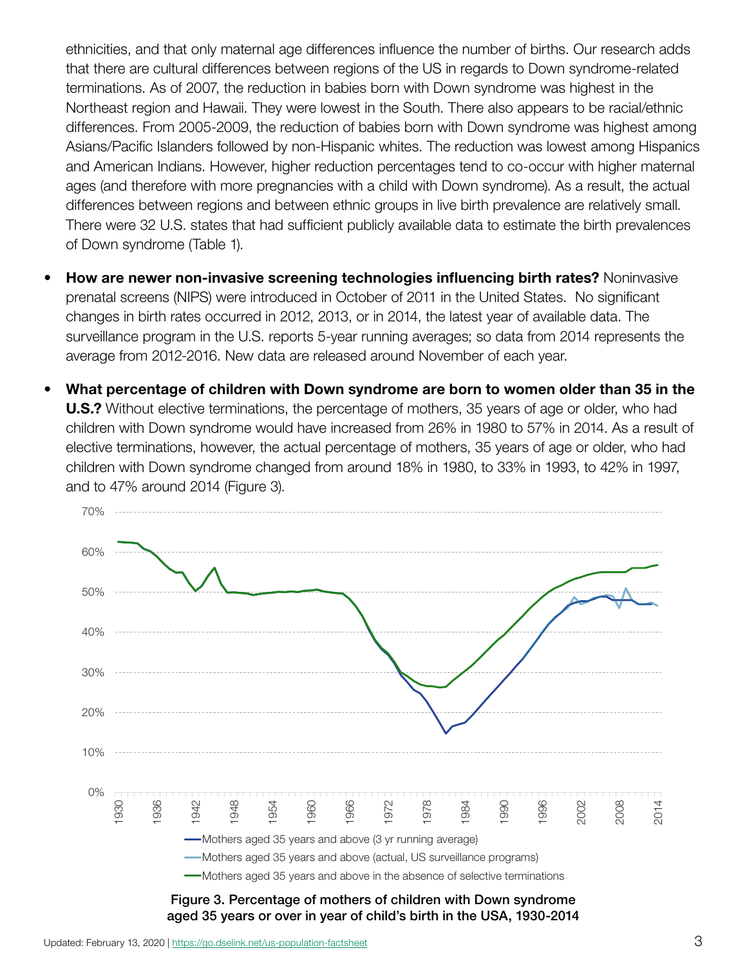ethnicities, and that only maternal age differences influence the number of births. Our research adds that there are cultural differences between regions of the US in regards to Down syndrome-related terminations. As of 2007, the reduction in babies born with Down syndrome was highest in the Northeast region and Hawaii. They were lowest in the South. There also appears to be racial/ethnic differences. From 2005-2009, the reduction of babies born with Down syndrome was highest among Asians/Pacific Islanders followed by non-Hispanic whites. The reduction was lowest among Hispanics and American Indians. However, higher reduction percentages tend to co-occur with higher maternal ages (and therefore with more pregnancies with a child with Down syndrome). As a result, the actual differences between regions and between ethnic groups in live birth prevalence are relatively small. There were 32 U.S. states that had sufficient publicly available data to estimate the birth prevalences of Down syndrome (Table 1).

- How are newer non-invasive screening technologies influencing birth rates? Noninvasive prenatal screens (NIPS) were introduced in October of 2011 in the United States. No significant changes in birth rates occurred in 2012, 2013, or in 2014, the latest year of available data. The surveillance program in the U.S. reports 5-year running averages; so data from 2014 represents the average from 2012-2016. New data are released around November of each year.
- What percentage of children with Down syndrome are born to women older than 35 in the **U.S.?** Without elective terminations, the percentage of mothers, 35 years of age or older, who had children with Down syndrome would have increased from 26% in 1980 to 57% in 2014. As a result of elective terminations, however, the actual percentage of mothers, 35 years of age or older, who had children with Down syndrome changed from around 18% in 1980, to 33% in 1993, to 42% in 1997, and to 47% around 2014 (Figure 3).

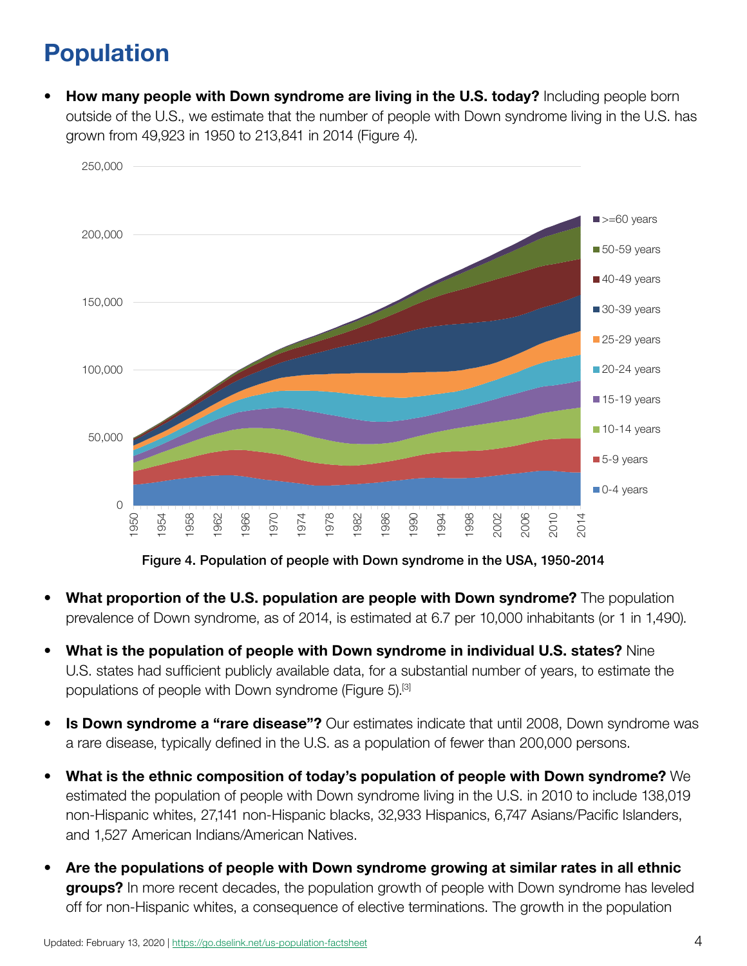## Population

**How many people with Down syndrome are living in the U.S. today?** Including people born outside of the U.S., we estimate that the number of people with Down syndrome living in the U.S. has grown from 49,923 in 1950 to 213,841 in 2014 (Figure 4).



Figure 4. Population of people with Down syndrome in the USA, 1950-2014

- What proportion of the U.S. population are people with Down syndrome? The population prevalence of Down syndrome, as of 2014, is estimated at 6.7 per 10,000 inhabitants (or 1 in 1,490).
- What is the population of people with Down syndrome in individual U.S. states? Nine U.S. states had sufficient publicly available data, for a substantial number of years, to estimate the populations of people with Down syndrome (Figure 5).<sup>[3]</sup>
- **Is Down syndrome a "rare disease"?** Our estimates indicate that until 2008, Down syndrome was a rare disease, typically defined in the U.S. as a population of fewer than 200,000 persons.
- What is the ethnic composition of today's population of people with Down syndrome? We estimated the population of people with Down syndrome living in the U.S. in 2010 to include 138,019 non-Hispanic whites, 27,141 non-Hispanic blacks, 32,933 Hispanics, 6,747 Asians/Pacific Islanders, and 1,527 American Indians/American Natives.
- Are the populations of people with Down syndrome growing at similar rates in all ethnic groups? In more recent decades, the population growth of people with Down syndrome has leveled off for non-Hispanic whites, a consequence of elective terminations. The growth in the population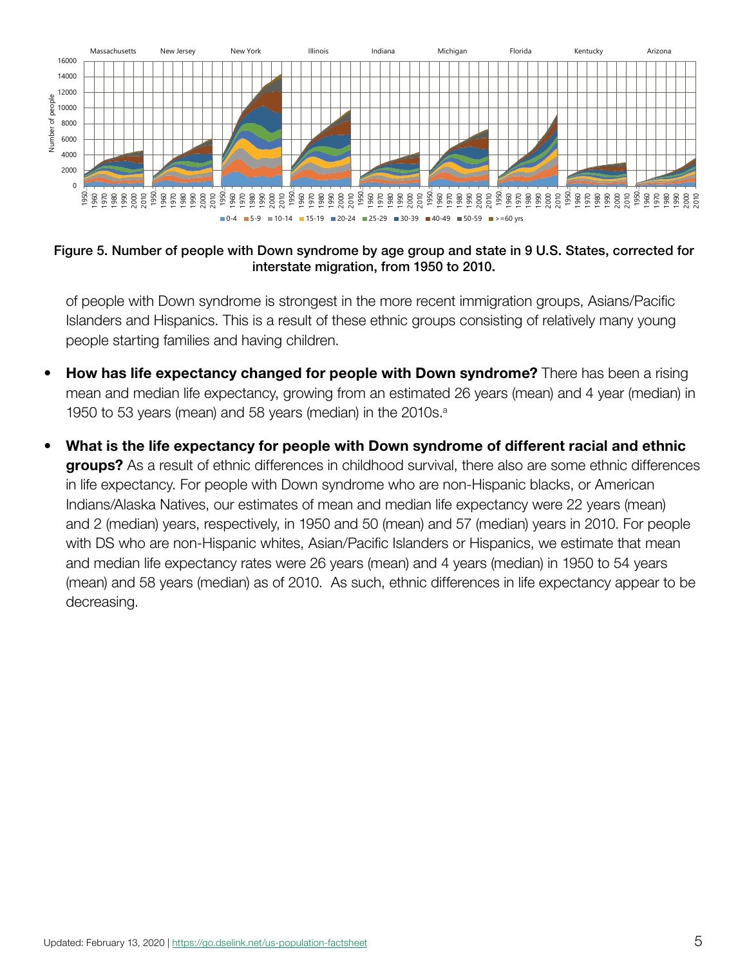

Figure 5. Number of people with Down syndrome by age group and state in 9 U.S. States, corrected for interstate migration, from 1950 to 2010.

of people with Down syndrome is strongest in the more recent immigration groups, Asians/Pacific Islanders and Hispanics. This is a result of these ethnic groups consisting of relatively many young people starting families and having children.

- **How has life expectancy changed for people with Down syndrome?** There has been a rising mean and median life expectancy, growing from an estimated 26 years (mean) and 4 year (median) in 1950 to 53 years (mean) and 58 years (median) in the 2010s.<sup>a</sup>
- What is the life expectancy for people with Down syndrome of different racial and ethnic **groups?** As a result of ethnic differences in childhood survival, there also are some ethnic differences in life expectancy. For people with Down syndrome who are non-Hispanic blacks, or American Indians/Alaska Natives, our estimates of mean and median life expectancy were 22 years (mean) and 2 (median) years, respectively, in 1950 and 50 (mean) and 57 (median) years in 2010. For people with DS who are non-Hispanic whites, Asian/Pacific Islanders or Hispanics, we estimate that mean and median life expectancy rates were 26 years (mean) and 4 years (median) in 1950 to 54 years (mean) and 58 years (median) as of 2010. As such, ethnic differences in life expectancy appear to be decreasing.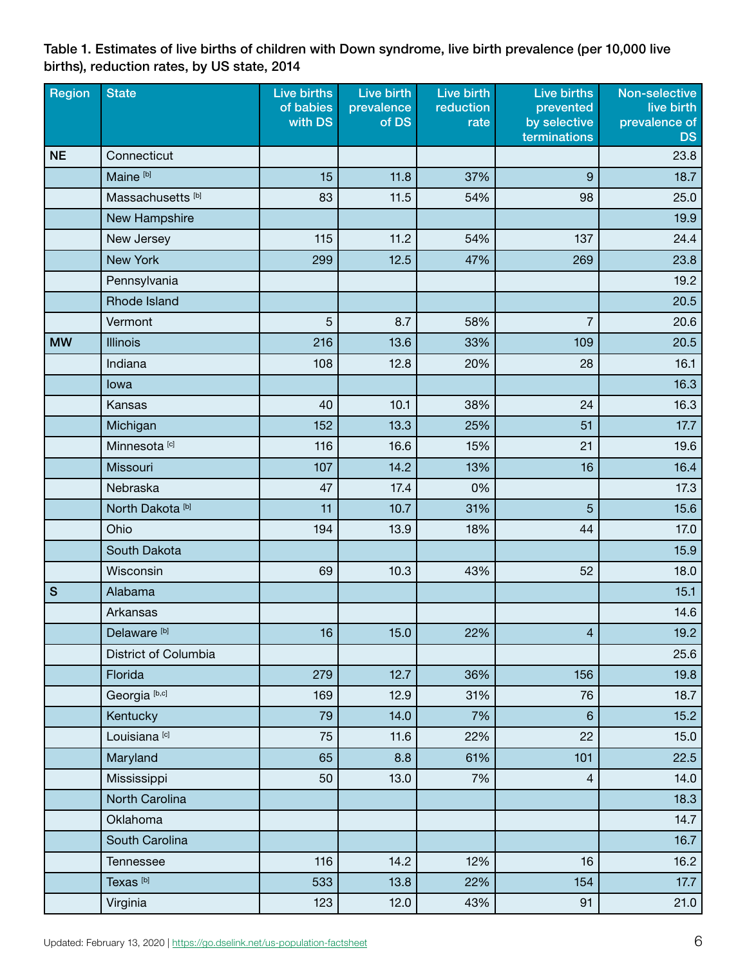Table 1. Estimates of live births of children with Down syndrome, live birth prevalence (per 10,000 live births), reduction rates, by US state, 2014

| Region        | <b>State</b>                 | Live births<br>of babies | Live birth<br>prevalence | Live birth<br>reduction | <b>Live births</b><br>prevented | Non-selective<br>live birth |
|---------------|------------------------------|--------------------------|--------------------------|-------------------------|---------------------------------|-----------------------------|
|               |                              | with DS                  | of DS                    | rate                    | by selective<br>terminations    | prevalence of<br><b>DS</b>  |
| <b>NE</b>     | Connecticut                  |                          |                          |                         |                                 | 23.8                        |
|               | Maine <sup>[b]</sup>         | 15                       | 11.8                     | 37%                     | $\overline{9}$                  | 18.7                        |
|               | Massachusetts <sup>[b]</sup> | 83                       | 11.5                     | 54%                     | 98                              | 25.0                        |
|               | New Hampshire                |                          |                          |                         |                                 | 19.9                        |
|               | New Jersey                   | 115                      | 11.2                     | 54%                     | 137                             | 24.4                        |
|               | <b>New York</b>              | 299                      | 12.5                     | 47%                     | 269                             | 23.8                        |
|               | Pennsylvania                 |                          |                          |                         |                                 | 19.2                        |
|               | <b>Rhode Island</b>          |                          |                          |                         |                                 | 20.5                        |
|               | Vermont                      | 5                        | 8.7                      | 58%                     | $\overline{7}$                  | 20.6                        |
| <b>MW</b>     | <b>Illinois</b>              | 216                      | 13.6                     | 33%                     | 109                             | 20.5                        |
|               | Indiana                      | 108                      | 12.8                     | 20%                     | 28                              | 16.1                        |
|               | lowa                         |                          |                          |                         |                                 | 16.3                        |
|               | Kansas                       | 40                       | 10.1                     | 38%                     | 24                              | 16.3                        |
|               | Michigan                     | 152                      | 13.3                     | 25%                     | 51                              | 17.7                        |
|               | Minnesota <sup>[c]</sup>     | 116                      | 16.6                     | 15%                     | 21                              | 19.6                        |
|               | Missouri                     | 107                      | 14.2                     | 13%                     | 16                              | 16.4                        |
|               | Nebraska                     | 47                       | 17.4                     | 0%                      |                                 | 17.3                        |
|               | North Dakota <sup>[b]</sup>  | 11                       | 10.7                     | 31%                     | 5                               | 15.6                        |
|               | Ohio                         | 194                      | 13.9                     | 18%                     | 44                              | 17.0                        |
|               | South Dakota                 |                          |                          |                         |                                 | 15.9                        |
|               | Wisconsin                    | 69                       | 10.3                     | 43%                     | 52                              | 18.0                        |
| ${\mathsf S}$ | Alabama                      |                          |                          |                         |                                 | 15.1                        |
|               | Arkansas                     |                          |                          |                         |                                 | 14.6                        |
|               | Delaware <sup>[b]</sup>      | 16                       | 15.0                     | 22%                     | $\overline{\mathcal{A}}$        | 19.2                        |
|               | District of Columbia         |                          |                          |                         |                                 | 25.6                        |
|               | Florida                      | 279                      | 12.7                     | 36%                     | 156                             | 19.8                        |
|               | Georgia <sup>[b,c]</sup>     | 169                      | 12.9                     | 31%                     | 76                              | 18.7                        |
|               | Kentucky                     | 79                       | 14.0                     | 7%                      | $6\phantom{a}$                  | 15.2                        |
|               | Louisiana <sup>[c]</sup>     | 75                       | 11.6                     | 22%                     | 22                              | 15.0                        |
|               | Maryland                     | 65                       | 8.8                      | 61%                     | 101                             | 22.5                        |
|               | Mississippi                  | 50                       | 13.0                     | 7%                      | $\overline{4}$                  | 14.0                        |
|               | North Carolina               |                          |                          |                         |                                 | 18.3                        |
|               | Oklahoma                     |                          |                          |                         |                                 | 14.7                        |
|               | South Carolina               |                          |                          |                         |                                 | 16.7                        |
|               | Tennessee                    | 116                      | 14.2                     | 12%                     | 16                              | 16.2                        |
|               | Texas <sup>[b]</sup>         | 533                      | 13.8                     | 22%                     | 154                             | 17.7                        |
|               | Virginia                     | 123                      | 12.0                     | 43%                     | 91                              | 21.0                        |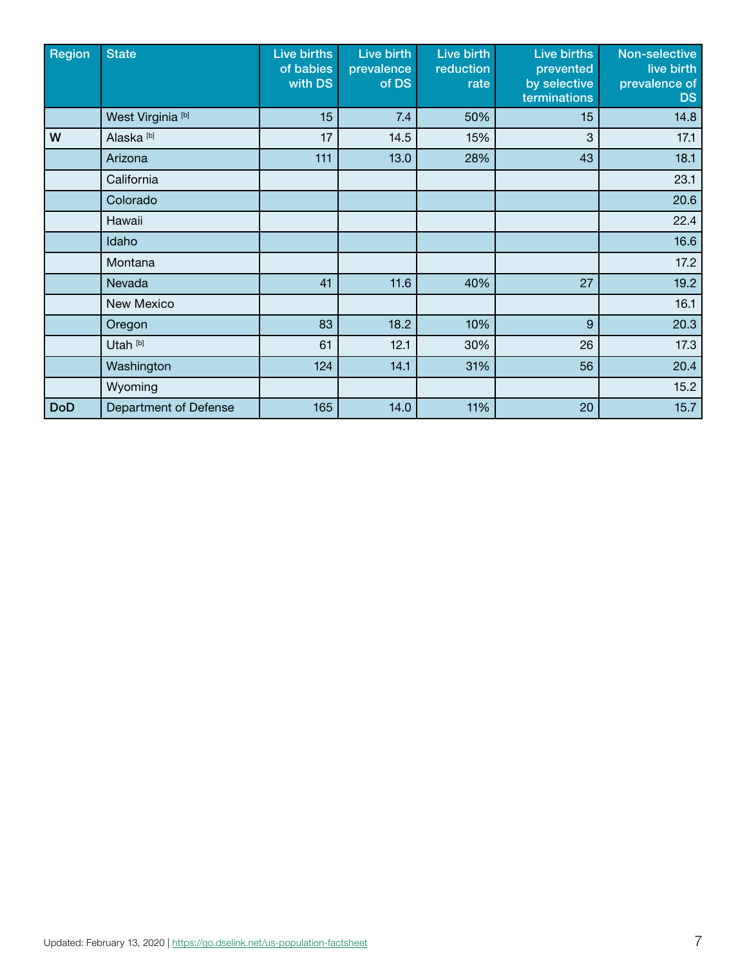| Region     | <b>State</b>                 | Live births<br>of babies<br>with DS | Live birth<br>prevalence<br>of DS | Live birth<br>reduction<br>rate | Live births<br>prevented<br>by selective<br>terminations | Non-selective<br>live birth<br>prevalence of<br><b>DS</b> |
|------------|------------------------------|-------------------------------------|-----------------------------------|---------------------------------|----------------------------------------------------------|-----------------------------------------------------------|
|            | West Virginia <sup>[b]</sup> | 15                                  | 7.4                               | 50%                             | 15                                                       | 14.8                                                      |
| W          | Alaska <sup>[b]</sup>        | 17                                  | 14.5                              | 15%                             | 3                                                        | 17.1                                                      |
|            | Arizona                      | 111                                 | 13.0                              | 28%                             | 43                                                       | 18.1                                                      |
|            | California                   |                                     |                                   |                                 |                                                          | 23.1                                                      |
|            | Colorado                     |                                     |                                   |                                 |                                                          | 20.6                                                      |
|            | Hawaii                       |                                     |                                   |                                 |                                                          | 22.4                                                      |
|            | Idaho                        |                                     |                                   |                                 |                                                          | 16.6                                                      |
|            | Montana                      |                                     |                                   |                                 |                                                          | 17.2                                                      |
|            | Nevada                       | 41                                  | 11.6                              | 40%                             | 27                                                       | 19.2                                                      |
|            | New Mexico                   |                                     |                                   |                                 |                                                          | 16.1                                                      |
|            | Oregon                       | 83                                  | 18.2                              | 10%                             | 9                                                        | 20.3                                                      |
|            | Utah <sup>[b]</sup>          | 61                                  | 12.1                              | 30%                             | 26                                                       | 17.3                                                      |
|            | Washington                   | 124                                 | 14.1                              | 31%                             | 56                                                       | 20.4                                                      |
|            | Wyoming                      |                                     |                                   |                                 |                                                          | 15.2                                                      |
| <b>DoD</b> | Department of Defense        | 165                                 | 14.0                              | 11%                             | 20                                                       | 15.7                                                      |